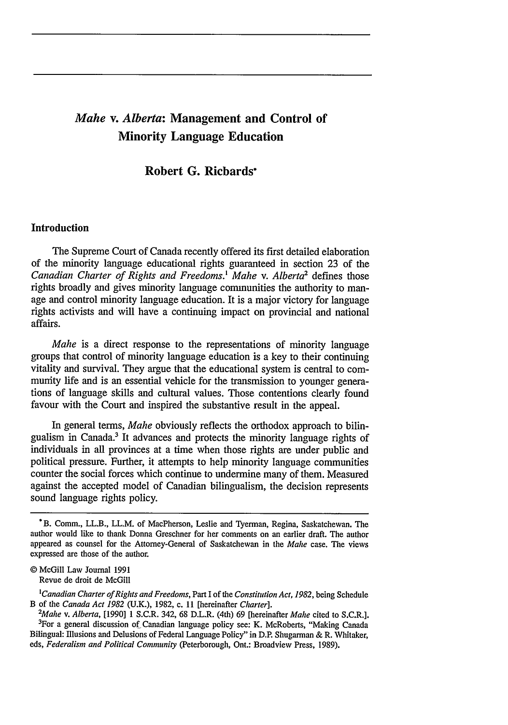# *Mahe v. Alberta:* **Management and Control of Minority Language Education**

**Robert G. Richards\***

## **Introduction**

The Supreme Court of Canada recently offered its first detailed elaboration of the minority language educational rights guaranteed in section 23 of the *Canadian Charter of Rights and Freedoms.' Mahe v. Alberta2* defines those rights broadly and gives minority language communities the authority to manage and control minority language education. It is a major victory for language rights activists and will have a continuing impact on provincial and national affairs.

*Mahe* is a direct response to the representations of minority language groups that control of minority language education is a key to their continuing vitality and survival. They argue that the educational system is central to community life and is an essential vehicle for the transmission to younger generations of language skills and cultural values. Those contentions clearly found favour with the Court and inspired the substantive result in the appeal.

In general terms, *Mahe* obviously reflects the orthodox approach to bilingualism in Canada.' It advances and protects the minority language rights of individuals in all provinces at a time when those rights are under public and political pressure. Further, it attempts to help minority language communities counter the social forces which continue to undermine many of them. Measured against the accepted model of Canadian bilingualism, the decision represents sound language rights policy.

<sup>\*</sup>B. Comm., LL.B., LL.M. of MacPherson, Leslie and Tyerman, Regina, Saskatchewan. The author would like to thank Donna Greschner for her comments on an earlier draft. The author appeared as counsel for the Attorney-General of Saskatchewan in the *Mahe* case. The views expressed are those of the author.

<sup>©</sup> McGill Law Journal 1991 Revue de droit de McGill

*<sup>&#</sup>x27;Canadian Charter of Rights and Freedoms,* Part I of the *Constitution Act, 1982,* being Schedule B of the *Canada Act 1982* (U.K.), 1982, c. **I1** [hereinafter *Charter]. <sup>2</sup>*

<sup>&</sup>lt;sup>3</sup>For a general discussion of Canadian language policy see: K. McRoberts, "Making Canada Bilingual: Illusions and Delusions of Federal Language Policy" in D.P. Shugarman & R. Whitaker, *eds, Federalism and Political Community* (Peterborough, Ont.: Broadview Press, 1989).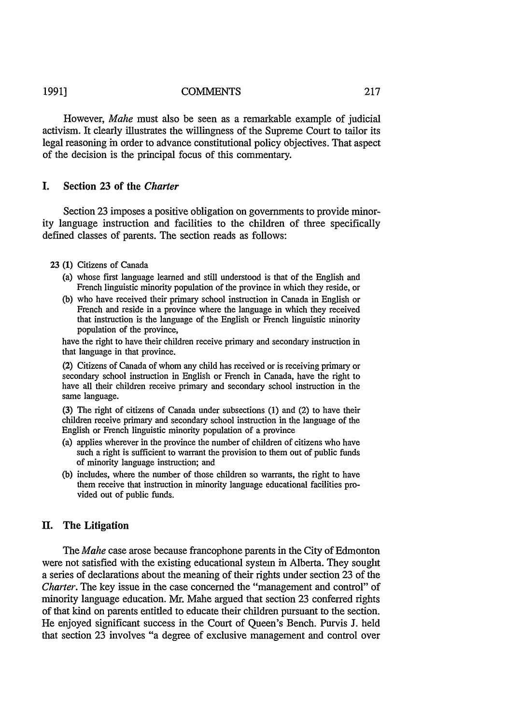#### **COMMENTS 1991]**

However, *Mahe* must also be seen as a remarkable example of judicial activism. It clearly illustrates the willingness of the Supreme Court to tailor its legal reasoning in order to advance constitutional policy objectives. That aspect of the decision is the principal focus of this commentary.

## I. Section **23** of the *Charter*

Section 23 imposes a positive obligation on governments to provide minority language instruction and facilities to the children of three specifically defined classes of parents. The section reads as follows:

#### 23 (1) Citizens of Canada

- (a) whose first language learned and still understood is that of the English and French linguistic minority population of the province in which they reside, or
- (b) who have received their primary school instruction in Canada in English or French and reside in a province where the language in which they received that instruction is the language of the English or French linguistic minority population of the province,

have the right to have their children receive primary and secondary instruction in that language in that province.

(2) Citizens of Canada of whom any child has received or is receiving primary or secondary school instruction in English or French in Canada, have the right to have all their children receive primary and secondary school instruction in the same language.

(3) The right of citizens of Canada under subsections (1) and (2) to have their children receive primary and secondary school instruction in the language of the English or French linguistic minority population of a province

- (a) applies wherever in the province the number of children of citizens who have such a right is sufficient to warrant the provision to them out of public funds of minority language instruction; and
- (b) includes, where the number of those children so warrants, the right to have them receive that instruction in minority language educational facilities provided out of public funds.

### **II.** The Litigation

The *Mahe* case arose because francophone parents in the City of Edmonton were not satisfied with the existing educational system in Alberta. They sought a series of declarations about the meaning of their rights under section 23 of the *Charter.* The key issue in the case concerned the "management and control" of minority language education. Mr. Mahe argued that section 23 conferred rights of that kind on parents entitled to educate their children pursuant to the section. He enjoyed significant success in the Court of Queen's Bench. Purvis J. held that section 23 involves "a degree of exclusive management and control over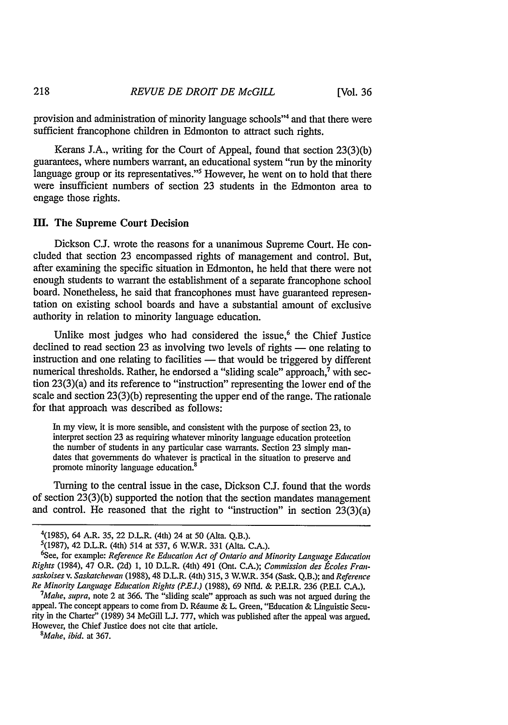provision and administration of minority language schools"4 and that there were sufficient francophone children in Edmonton to attract such rights.

Kerans J.A., writing for the Court of Appeal, found that section 23(3)(b) guarantees, where numbers warrant, an educational system "run by the minority language group or its representatives."<sup>5</sup> However, he went on to hold that there were insufficient numbers of section 23 students in the Edmonton area to engage those rights.

#### **M.** The Supreme Court Decision

Dickson C.J. wrote the reasons for a unanimous Supreme Court. He concluded that section 23 encompassed rights of management and control. But, after examining the specific situation in Edmonton, he held that there were not enough students to warrant the establishment of a separate francophone school board. Nonetheless, he said that francophones must have guaranteed representation on existing school boards and have a substantial amount of exclusive authority in relation to minority language education.

Unlike most judges who had considered the issue,<sup>6</sup> the Chief Justice declined to read section 23 as involving two levels of rights  $-$  one relating to instruction and one relating to facilities — that would be triggered by different numerical thresholds. Rather, he endorsed a "sliding scale" approach,<sup>7</sup> with section 23(3)(a) and its reference to "instruction" representing the lower end of the scale and section 23(3)(b) representing the upper end of the range. The rationale for that approach was described as follows:

In my view, it is more sensible, and consistent with the purpose of section 23, to interpret section 23 as requiring whatever minority language education protection the number of students in any particular case warrants. Section 23 simply mandates that governments do whatever is practical in the situation to preserve and promote minority language education.<sup>8</sup>

Turning to the central issue in the case, Dickson C.J. found that the words of section 23(3)(b) supported the notion that the section mandates management and control. He reasoned that the right to "instruction" in section  $23(3)(a)$ 

*Mahe, supra,* note 2 at 366. The "sliding scale" approach as such was not argued during the appeal. The concept appears to come from D. Réaume & L. Green, "Education & Linguistic Security in the Charter" (1989) 34 McGill **L.J.** 777, which was published after the appeal was argued. However, the Chief Justice does not cite that article.

*8 Mahe, ibid.* at 367.

218

<sup>&</sup>lt;sup>4</sup>(1985), 64 A.R. 35, 22 D.L.R. (4th) 24 at 50 (Alta. Q.B.).<br><sup>5</sup>(1987), 42 D.L.R. (4th) 514 at 537, 6 W.W.R. 331 (Alta. C.A.).

See, for example: *Reference Re Education Act of Ontario and Minority Language Education Rights* (1984), 47 O.R. (2d) 1, 10 D.L.R. (4th) 491 (Ont. C.A.); *Commission des Ecoles Fransaskoises v. Saskatchewan* (1988), 48 D.L.R. (4th) 315, 3 W.W.R. 354 (Sask. Q.B.); and *Reference Re Minority Language Education Rights (P.EJ.)* (1988), 69 Nfld. & P.E.I.R. 236 (P.E.I. C.A.). *<sup>7</sup>*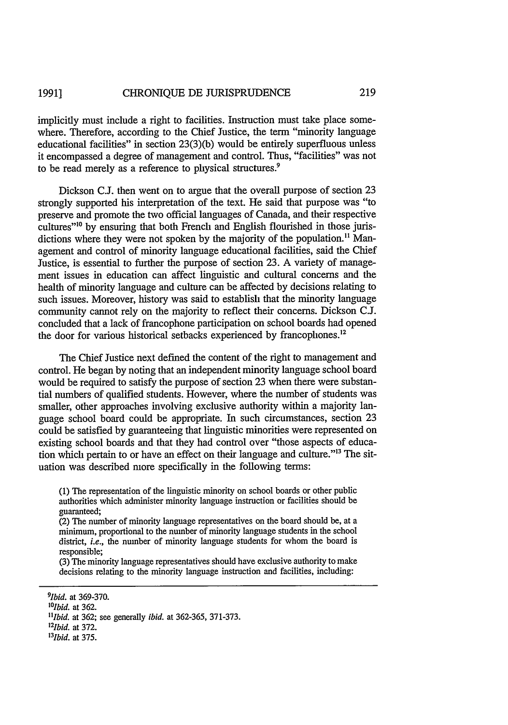implicitly must include a right to facilities. Instruction must take place somewhere. Therefore, according to the Chief Justice, the term "minority language educational facilities" in section 23(3)(b) would be entirely superfluous unless it encompassed a degree of management and control. Thus, "facilities" was not to be read merely as a reference to physical structures.<sup>9</sup>

Dickson **C.J.** then went on to argue that the overall purpose of section 23 strongly supported his interpretation of the text. He said that purpose was "to preserve and promote the two official languages of Canada, and their respective cultures"<sup>10</sup> by ensuring that both French and English flourished in those jurisdictions where they were not spoken by the majority of the population.<sup>11</sup> Management and control of minority language educational facilities, said the Chief Justice, is essential to further the purpose of section 23. A variety of management issues in education can affect linguistic and cultural concerns and the health of minority language and culture can be affected by decisions relating to such issues. Moreover, history was said to establish that the minority language community cannot rely on the majority to reflect their concerns. Dickson **C.J.** concluded that a lack of francophone participation on school boards had opened the door for various historical setbacks experienced by francophones.<sup>12</sup>

The Chief Justice next defined the content of the right to management and control. He began by noting that an independent minority language school board would be required to satisfy the purpose of section 23 when there were substantial numbers of qualified students. However, where the number of students was smaller, other approaches involving exclusive authority within a majority language school board could be appropriate. In such circumstances, section 23 could be satisfied by guaranteeing that linguistic minorities were represented on existing school boards and that they had control over "those aspects of education which pertain to or have an effect on their language and culture."<sup>13</sup> The situation was described more specifically in the following terms:

(1) The representation of the linguistic minority on school boards or other public authorities which administer minority language instruction or facilities should be guaranteed;

(2) The number of minority language representatives on the board should be, at a minimum, proportional to the number of minority language students in the school district, *i.e.,* the number of minority language students for whom the board is responsible;

(3) The minority language representatives should have exclusive authority to make decisions relating to the minority language instruction and facilities, including:

*131bid.* at 375.

*<sup>91</sup>bid.* at 369-370.

*<sup>1</sup> 0 lbid.* at 362.

*<sup>&</sup>quot;Ibid.* at 362; see generally *ibid.* at 362-365, **371-373.**

*<sup>121</sup>bid.* at 372.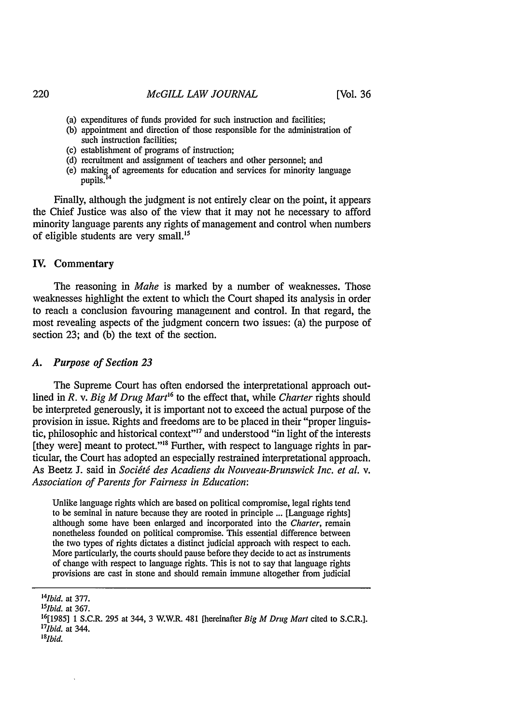(Vol. **36**

- (a) expenditures of funds provided for such instruction and facilities;
- (b) appointment and direction of those responsible for the administration of such instruction facilities;
- (c) establishment of programs of instruction;
- (d) recruitment and assignment of teachers and other personnel; and
- (e) making of agreements for education and services for minority language pupils.

Finally, although the judgment is not entirely clear on the point, it appears the Chief Justice was also of the view that it may not be necessary to afford minority language parents any rights of management and control when numbers of eligible students are very small.<sup>15</sup>

#### IV. Commentary

The reasoning in *Mahe* is marked by a number of weaknesses. Those weaknesses highlight the extent to which the Court shaped its analysis in order to reach a conclusion favouring management and control. In that regard, the most revealing aspects of the judgment concern two issues: (a) the purpose of section 23; and (b) the text of the section.

#### *A. Purpose of Section 23*

The Supreme Court has often endorsed the interpretational approach outlined in *R. v. Big M Drug Mart*<sup>16</sup> to the effect that, while *Charter* rights should be interpreted generously, it is important not to exceed the actual purpose of the provision in issue. Rights and freedoms are to be placed in their "proper linguistic, philosophic and historical context"<sup>17</sup> and understood "in light of the interests" [they were] meant to protect."<sup>18</sup> Further, with respect to language rights in particular, the Court has adopted an especially restrained interpretational approach. As Beetz J. said in *Socit6 des Acadiens du Nouveau-Brunswick Inc. et al.* v. *Association of Parents for Fairness in Education:*

Unlike language rights which are based on political compromise, legal rights tend to be seminal in nature because they are rooted in principle ... [Language rights] although some have been enlarged and incorporated into the *Charter,* remain nonetheless founded on political compromise. This essential difference between the two types of rights dictates a distinct judicial approach with respect to each. More particularly, the courts should pause before they decide to act as instruments of change with respect to language rights. This is not to say that language rights provisions are cast in stone and should remain immune altogether from judicial

*<sup>&#</sup>x27;41bid.* at 377.

*<sup>151</sup>bid.* at 367.

**<sup>16[1985] 1</sup>** S.C.R. 295 at 344, 3 W.W.R. 481 [hereinafter *Big M Drug Mart* cited to S.C.R.]. *'71bid.* at 344. *8*

*<sup>1</sup> Ibid.*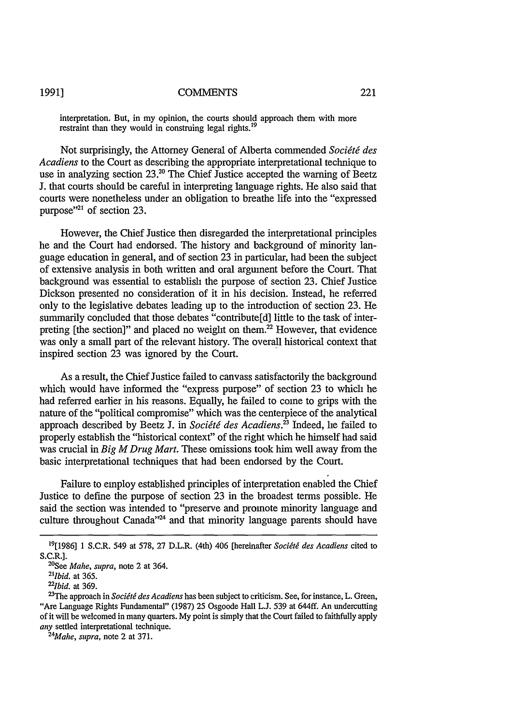**1991]**

#### **COMMENTS**

interpretation. But, in my opinion, the courts should approach them with more restraint than they would in construing legal rights.<sup>19</sup>

Not surprisingly, the Attorney General of Alberta commended *Socit6 des Acadiens* to the Court as describing the appropriate interpretational technique to use in analyzing section 23.<sup>20</sup> The Chief Justice accepted the warning of Beetz **J.** that courts should be careful in interpreting language rights. He also said that courts were nonetheless under an obligation to breathe life into the "expressed purpose"<sup>21</sup> of section 23.

However, the Chief Justice then disregarded the interpretational principles he and the Court had endorsed. The history and background of minority language education in general, and of section 23 in particular, had been the subject of extensive analysis in both written and oral argument before the Court. That background was essential to establish the purpose of section 23. Chief Justice Dickson presented no consideration of it in his decision. Instead, he referred only to the legislative debates leading up to the introduction of section 23. He summarily concluded that those debates "contribute[d] little to the task of interpreting [the section]" and placed no weight on them.22 However, that evidence was only a small part of the relevant history. The overall historical context that inspired section 23 was ignored by the Court.

As a result, the Chief Justice failed to canvass satisfactorily the background which would have informed the "express purpose" of section 23 to which he had referred earlier in his reasons. Equally, he failed to come to grips with the nature of the "political compromise" which was the centerpiece of the analytical approach described by Beetz J. in *Société des Acadiens*.<sup>23</sup> Indeed, he failed to properly establish the "historical context" of the right which he himself had said was crucial in *Big M Drug Mart.* These omissions took him well away from the basic interpretational techniques that had been endorsed by the Court.

Failure to employ established principles of interpretation enabled the Chief Justice to define the purpose of section 23 in the broadest terms possible. He said the section was intended to "preserve and promote minority language and culture throughout Canada"<sup>24</sup> and that minority language parents should have

*Mahe, supra,* note 2 at 371.

<sup>19[1986] 1</sup> S.C.R. 549 at 578, 27 D.L.R. (4th) 406 [hereinafter *Socidtg des Acadiens* cited to S.C.R.1.

<sup>&</sup>lt;sup>20</sup>See *Mahe, supra*, note 2 at 364.

*<sup>21</sup>bid.* at 365.

<sup>&</sup>lt;sup>22</sup>*Ibid.* at 369.

<sup>&</sup>lt;sup>23</sup>The approach in *Société des Acadiens* has been subject to criticism. See, for instance, L. Green, "Are Language Rights Fundamental" (1987) 25 Osgoode Hall L.J. **539** at 644ff. An undercutting of it will be welcomed in many quarters. My point is simply that the Court failed to faithfully apply *any* settled interpretational technique. *<sup>24</sup>*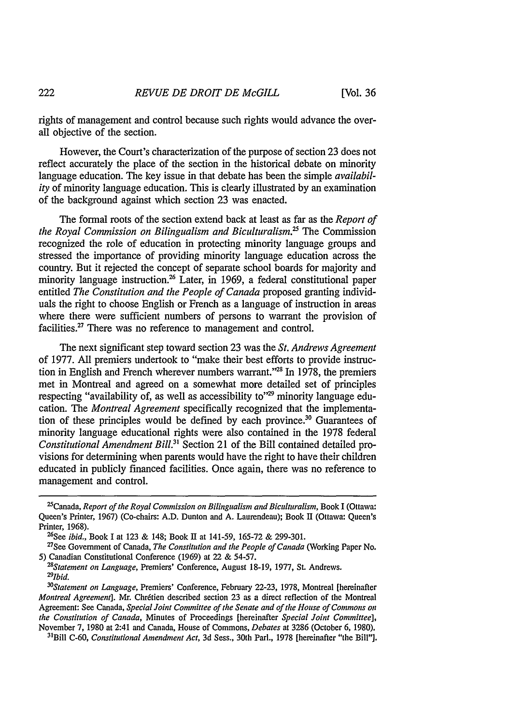rights of management and control because such rights would advance the overall objective of the section.

However, the Court's characterization of the purpose of section 23 does not reflect accurately the place of the section in the historical debate on minority language education. The key issue in that debate has been the simple *availability* of minority language education. This is clearly illustrated by an examination of the background against which section 23 was enacted.

The formal roots of the section extend back at least as far as the *Report of the Royal Commission on Bilingualism and Biculturalism.* The Commission recognized the role of education in protecting minority language groups and stressed the importance of providing minority language education across the country. But it rejected the concept of separate school boards for majority and minority language instruction.<sup>26</sup> Later, in 1969, a federal constitutional paper entitled *The Constitution and the People of Canada* proposed granting individuals the right to choose English or French as a language of instruction in areas where there were sufficient numbers of persons to warrant the provision of facilities.<sup>27</sup> There was no reference to management and control.

The next significant step toward section 23 was the *St. Andrews Agreement* of 1977. All premiers undertook to "make their best efforts to provide instruction in English and French wherever numbers warrant."<sup>28</sup> In 1978, the premiers met in Montreal and agreed on a somewhat more detailed set of principles respecting "availability of, as well as accessibility to"<sup>29</sup> minority language education. The *Montreal Agreement* specifically recognized that the implementation of these principles would be defined by each province.<sup>30</sup> Guarantees of minority language educational rights were also contained in the 1978 federal *Constitutional Amendment Bill.*<sup>31</sup> Section 21 of the Bill contained detailed provisions for determining when parents would have the right to have their children educated in publicly financed facilities. Once again, there was no reference to management and control.

<sup>2</sup>Canada, *Report of the Royal Commission on Bilingualism and Biculturalism,* Book I (Ottawa: Queen's Printer, 1967) (Co-chairs: A.D. Dunton and A. Laurendeau); Book II (Ottawa: Queen's Printer, 1968).

<sup>&</sup>lt;sup>26</sup>See *ibid.*, Book I at 123 & 148; Book II at 141-59, 165-72 & 299-301.

<sup>27</sup> See Government of Canada, *The Constitution and the People of Canada* (Working Paper No. 5) Canadian Constitutional Conference (1969) at 22 & 54-57. *<sup>28</sup>*

*Statement on Language,* Premiers' Conference, August 18-19, 1977, St. Andrews. *291bid. 30*

*Statement on Language,* Premiers' Conference, February 22-23, 1978, Montreal [hereinafter *Montreal Agreement*]. Mr. Chrétien described section 23 as a direct reflection of the Montreal Agreement: See Canada, *Special Joint Committee of the Senate and of the House of Commons on the Constitution of Canada,* Minutes of Proceedings [hereinafter *Special Joint Committee],* November 7, 1980 at 2:41 and Canada, House of Commons, *Debates* at 3286 (October 6, 1980).

Bill C-60, *Constitutional Amendment Act,* 3d Sess., 30th Parl., 1978 [hereinafter "the Bill"].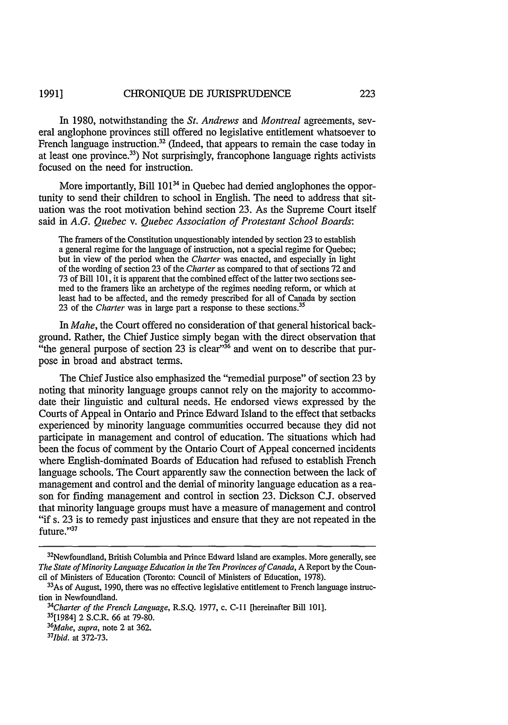In 1980, notwithstanding the *St. Andrews and Montreal* agreements, several anglophone provinces still offered no legislative entitlement whatsoever to French language instruction.<sup>32</sup> (Indeed, that appears to remain the case today in at least one province.<sup>33</sup>) Not surprisingly, francophone language rights activists focused on the need for instruction.

More importantly, Bill 101<sup>34</sup> in Quebec had denied anglophones the opportunity to send their children to school in English. The need to address that situation was the root motivation behind section 23. As the Supreme Court itself said in *A.G. Quebec v. Quebec Association of Protestant School Boards:*

The framers of the Constitution unquestionably intended by section 23 to establish a general regime for the language of instruction, not a special regime for Quebec; but in view of the period when the Charter was enacted, and especially in light of the wording of section 23 of the *Charter* as compared to that of sections 72 and 73 of Bill 101, it is apparent that the combined effect of the latter two sections seemed to the framers like an archetype of the regimes needing reform, or which at least had to be affected, and the remedy prescribed for all of Canada by section 23 of the *Charter* was in large part a response to these sections. <sup>35</sup>

*In Mahe,* the Court offered no consideration of that general historical background. Rather, the Chief Justice simply began with the direct observation that "the general purpose of section 23 is clear"<sup>36</sup> and went on to describe that purpose in broad and abstract terms.

The Chief Justice also emphasized the "remedial purpose" of section 23 by noting that minority language groups cannot rely on the majority to accommodate their linguistic and cultural needs. He endorsed views expressed by the Courts of Appeal in Ontario and Prince Edward Island to the effect that setbacks experienced by minority language communities occurred because they did not participate in management and control of education. The situations which had been the focus of comment by the Ontario Court of Appeal concerned incidents where English-dominated Boards of Education had refused to establish French language schools. The Court apparently saw the connection between the lack of management and control and the denial of minority language education as a reason for finding management and control in section 23. Dickson C.J. observed that minority language groups must have a measure of management and control "if s. 23 is to remedy past injustices and ensure that they are not repeated in the future."37

<sup>&</sup>lt;sup>32</sup>Newfoundland, British Columbia and Prince Edward Island are examples. More generally, see *The State of Minority Language Education in the Ten Provinces of Canada,* A Report by the Council of Ministers of Education (Toronto: Council of Ministers of Education, 1978).

 $33$ As of August, 1990, there was no effective legislative entitlement to French language instruction in Newfoundland.

*<sup>34</sup>Charter of the French Language,* R.S.Q. 1977, c. **C-11** [hereinafter Bill 101].

**<sup>35[1984]</sup>** 2 S.C.R. 66 at 79-80. *<sup>36</sup>*

 $36$ *Mahe, supra, note 2 at 362.* 

*<sup>1</sup>bid.* at 372-73.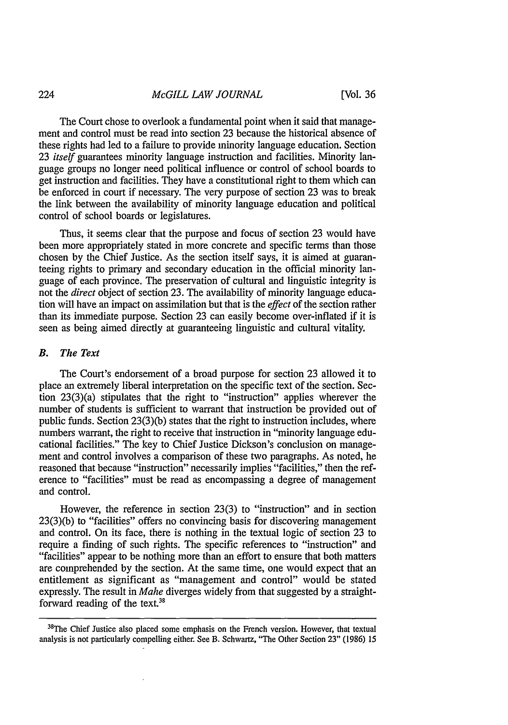The Court chose to overlook a fundamental point when it said that management and control must be read into section 23 because the historical absence of these rights had led to a failure to provide minority language education. Section 23 *itself* guarantees minority language instruction and facilities. Minority language groups no longer need political influence or control of school boards to get instruction and facilities. They have a constitutional right to them which can be enforced in court if necessary. The very purpose of section 23 was to break the link between the availability of minority language education and political control of school boards or legislatures.

Thus, it seems clear that the purpose and focus of section 23 would have been more appropriately stated in more concrete and specific terms than those chosen by the Chief Justice. As the section itself says, it is aimed at guaranteeing rights to primary and secondary education in the official minority language of each province. The preservation of cultural and linguistic integrity is not the *direct* object of section 23. The availability of minority language education will have an impact on assimilation but that is the *effect* of the section rather than its immediate purpose. Section 23 can easily become over-inflated if it is seen as being aimed directly at guaranteeing linguistic and cultural vitality.

#### *B. The Text*

The Court's endorsement of a broad purpose for section 23 allowed it to place an extremely liberal interpretation on the specific text of the section. Section 23(3)(a) stipulates that the right to "instruction" applies wherever the number of students is sufficient to warrant that instruction be provided out of public funds. Section 23(3)(b) states that the right to instruction includes, where numbers warrant, the right to receive that instruction in "minority language educational facilities." The key to Chief Justice Dickson's conclusion on management and control involves a comparison of these two paragraphs. As noted, he reasoned that because "instruction" necessarily implies "facilities," then the reference to "facilities" must be read as encompassing a degree of management and control.

However, the reference in section 23(3) to "instruction" and in section 23(3)(b) to "facilities" offers no convincing basis for discovering management and control. On its face, there is nothing in the textual logic of section 23 to require a finding of such rights. The specific references to "instruction" and "facilities" appear to be nothing more than an effort to ensure that both matters are comprehended by the section. At the same time, one would expect that an entitlement as significant as "management and control" would be stated expressly. The result in *Mahe* diverges widely from that suggested by a straightforward reading of the text. $38$ 

<sup>&</sup>lt;sup>38</sup>The Chief Justice also placed some emphasis on the French version. However, that textual analysis is not particularly compelling either. See B. Schwartz, "The Other Section 23" (1986) 15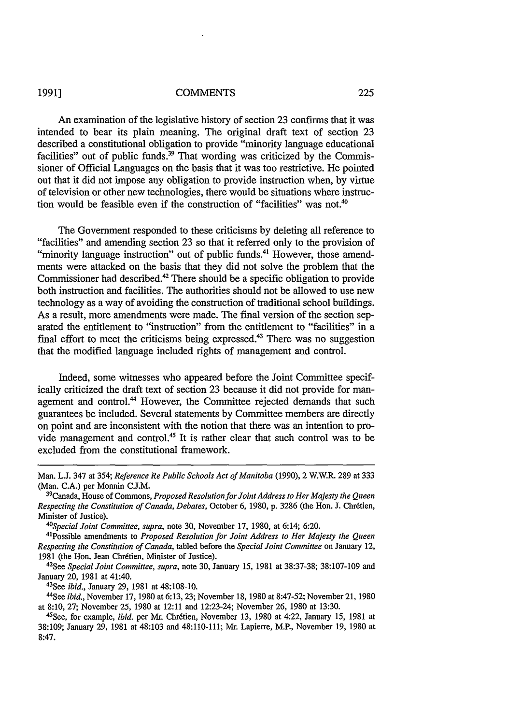#### **1991]**

#### **COMMENTS**

An examination of the legislative history of section 23 confirms that it was intended to bear its plain meaning. The original draft text of section 23 described a constitutional obligation to provide "minority language educational facilities" out of public funds.<sup>39</sup> That wording was criticized by the Commissioner of Official Languages on the basis that it was too restrictive. He pointed out that it did not impose any obligation to provide instruction when, by virtue of television or other new technologies, there would be situations where instruction would be feasible even if the construction of "facilities" was not.<sup>4</sup>

The Government responded to these criticisms by deleting all reference to "facilities" and amending section 23 so that it referred only to the provision of "minority language instruction" out of public funds.<sup>41</sup> However, those amendments were attacked on the basis that they did not solve the problem that the Commissioner had described.42 There should be a specific obligation to provide both instruction and facilities. The authorities should not be allowed to use new technology as a way of avoiding the construction of traditional school buildings. As a result, more amendments were made. The final version of the section separated the entitlement to "instruction" from the entitlement to "facilities" in a final effort to meet the criticisms being expressed.<sup>43</sup> There was no suggestion that the modified language included rights of management and control.

Indeed, some witnesses who appeared before the Joint Committee specifically criticized the draft text of section 23 because it did not provide for management and control.<sup>44</sup> However, the Committee rejected demands that such guarantees be included. Several statements by Committee members are directly on point and are inconsistent with the notion that there was an intention to provide management and control.<sup>45</sup> It is rather clear that such control was to be excluded from the constitutional framework.

*43See ibid.,* January 29, 1981 at 48:108-10.

44See *ibid.,* November 17, 1980 at 6:13,23; November 18, 1980 at 8:47-52; November 21, 1980 at 8:10, 27; November 25, 1980 at 12:11 and 12:23-24; November 26, 1980 at 13:30.

Man. L.J. 347 at 354; *Reference Re Public Schools Act of Manitoba* (1990), 2 W.W.R. 289 at 333 (Man. C.A.) per Monnin C.J.M.

Canada, House of Commons, *Proposed Resolution for Joint Address to Her Majesty the Queen Respecting the Constitution of Canada, Debates,* October 6, 1980, p. 3286 (the Hon. J. Chrdtien, Minister of Justice).

*<sup>4°</sup>Special Joint Committee, supra,* note 30, November 17, 1980, at 6:14; 6:20.

<sup>4</sup>Possible amendments to *Proposed Resolution for Joint Address to Her Majesty the Queen Respecting the Constitution of Canada,* tabled before the *Special Joint Committee* on January 12, 1981 (the Hon. Jean Chrétien, Minister of Justice).

See *Special Joint Committee, supra,* note 30, January 15, 1981 at 38:37-38; 38:107-109 and January 20, 1981 at 41:40.

<sup>45</sup>See, for example, *ibid.* per Mr. Chr6tien, November 13, 1980 at 4:22, January 15, 1981 at 38:109; January 29, 1981 at 48:103 and 48:110-111; Mr. Lapierre, M.P., November 19, 1980 at 8:47.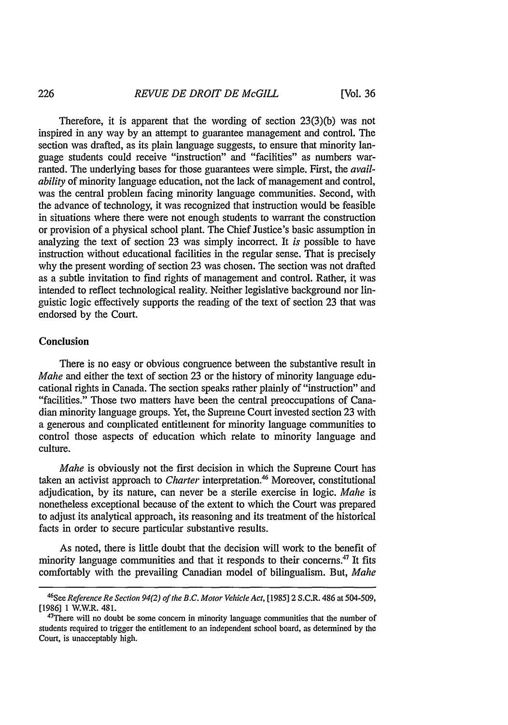Therefore, it is apparent that the wording of section 23(3)(b) was not inspired in any way by an attempt to guarantee management and control. The section was drafted, as its plain language suggests, to ensure that minority language students could receive "instruction" and "facilities" as numbers warranted. The underlying bases for those guarantees were simple. First, the *availability* of minority language education, not the lack of management and control, was the central problem facing minority language communities. Second, with the advance of technology, it was recognized that instruction would be feasible in situations where there were not enough students to warrant the construction or provision of a physical school plant. The Chief Justice's basic assumption in analyzing the text of section 23 was simply incorrect. It *is* possible to have instruction without educational facilities in the regular sense. That is precisely why the present wording of section 23 was chosen. The section was not drafted as a subtle invitation to find rights of management and control. Rather, it was intended to reflect technological reality. Neither legislative background nor linguistic logic effectively supports the reading of the text of section 23 that was endorsed by the Court.

#### Conclusion

There is no easy or obvious congruence between the substantive result in *Mahe* and either the text of section 23 or the history of minority language educational rights in Canada. The section speaks rather plainly of "instruction" and "facilities." Those two matters have been the central preoccupations of Canadian minority language groups. Yet, the Supreme Court invested section 23 with a generous and complicated entitlement for minority language communities to control those aspects of education which relate to minority language and culture.

*Mahe* is obviously not the first decision in which the Supreme Court has taken an activist approach to *Charter* interpretation.<sup>46</sup> Moreover, constitutional adjudication, by its nature, can never be a sterile exercise in logic. *Mahe* is nonetheless exceptional because of the extent to which the Court was prepared to adjust its analytical approach, its reasoning and its treatment of the historical facts in order to secure particular substantive results.

As noted, there is little doubt that the decision will work to the benefit of minority language communities and that it responds to their concerns.47 It fits comfortably with the prevailing Canadian model of bilingualism. But, *Mahe*

<sup>&</sup>lt;sup>46</sup>See Reference Re Section 94(2) of the B.C. Motor Vehicle Act, [1985] 2 S.C.R. 486 at 504-509, [1986] 1 W.W.R. 481.

<sup>&</sup>lt;sup>47</sup>There will no doubt be some concern in minority language communities that the number of students required to trigger the entitlement to an independent school board, as determined by the Court, is unacceptably high.